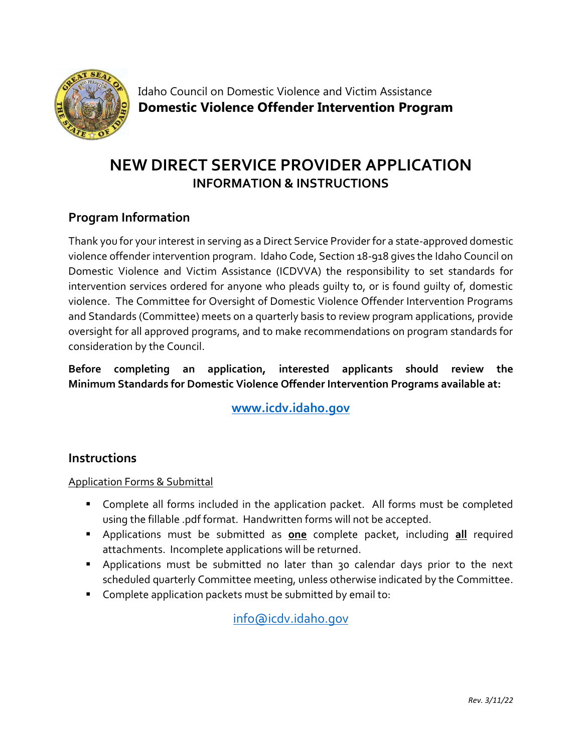

Idaho Council on Domestic Violence and Victim Assistance **Domestic Violence Offender Intervention Program**

# **NEW DIRECT SERVICE PROVIDER APPLICATION INFORMATION & INSTRUCTIONS**

# **Program Information**

Thank you for your interest in serving as a Direct Service Provider for a state-approved domestic violence offender intervention program. Idaho Code, Section 18-918 gives the Idaho Council on Domestic Violence and Victim Assistance (ICDVVA) the responsibility to set standards for intervention services ordered for anyone who pleads guilty to, or is found guilty of, domestic violence. The Committee for Oversight of Domestic Violence Offender Intervention Programs and Standards (Committee) meets on a quarterly basis to review program applications, provide oversight for all approved programs, and to make recommendations on program standards for consideration by the Council.

## **Before completing an application, interested applicants should review the Minimum Standards for Domestic Violence Offender Intervention Programs available at:**

**[www.icdv.idaho.gov](https://icdv.idaho.gov/wp-content/uploads/sites/80/2019/10/MinimumStandardsForDVOffenderInterventionProgramsFINAL.pdf)**

## **Instructions**

## Application Forms & Submittal

- Complete all forms included in the application packet. All forms must be completed using the fillable .pdf format. Handwritten forms will not be accepted.
- Applications must be submitted as **one** complete packet, including **all** required attachments. Incomplete applications will be returned.
- Applications must be submitted no later than 30 calendar days prior to the next scheduled quarterly Committee meeting, unless otherwise indicated by the Committee.
- Complete application packets must be submitted by email to:

[info@icdv.idaho.gov](mailto:info@icdv.idaho.gov)